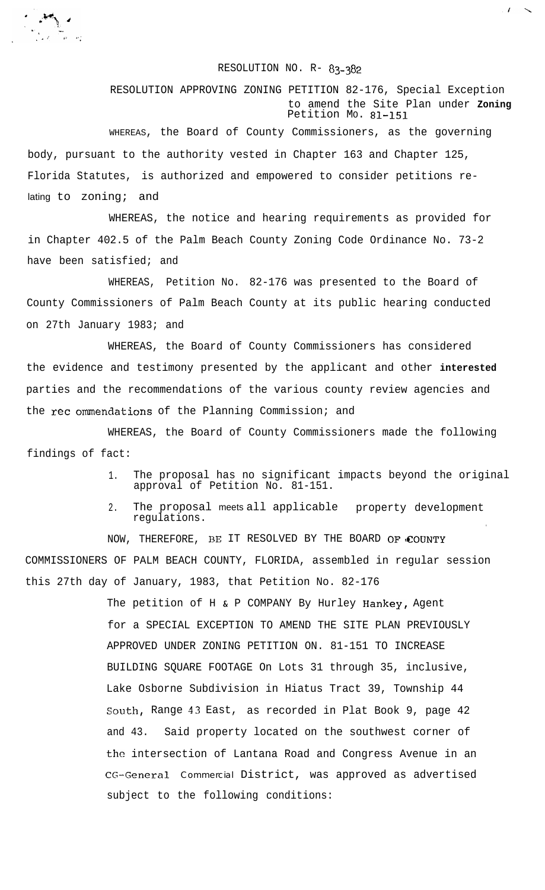## RESOLUTION NO. R- 83-382

RESOLUTION APPROVING ZONING PETITION 82-176, Special Exception to amend the Site Plan under **Zoning** Petition MO. 81-151

WHEREAS, the Board of County Commissioners, as the governing body, pursuant to the authority vested in Chapter 163 and Chapter 125, Florida Statutes, is authorized and empowered to consider petitions relating to zoning; and

 $\mathcal{L}=\mathcal{M}_{\text{max}}$ 

 $\sum_{i=1}^{n} \sum_{j=1}^{n} \sum_{j=1}^{n} \sum_{j=1}^{n} \sum_{j=1}^{n} \sum_{j=1}^{n} \sum_{j=1}^{n} \sum_{j=1}^{n} \sum_{j=1}^{n} \sum_{j=1}^{n} \sum_{j=1}^{n} \sum_{j=1}^{n} \sum_{j=1}^{n} \sum_{j=1}^{n} \sum_{j=1}^{n} \sum_{j=1}^{n} \sum_{j=1}^{n} \sum_{j=1}^{n} \sum_{j=1}^{n} \sum_{j=1}^{n} \sum_{j=1}^{n} \sum_{j=1}^{n}$ 

WHEREAS, the notice and hearing requirements as provided for in Chapter 402.5 of the Palm Beach County Zoning Code Ordinance No. 73-2 have been satisfied; and

WHEREAS, Petition No. 82-176 was presented to the Board of County Commissioners of Palm Beach County at its public hearing conducted on 27th January 1983; and

WHEREAS, the Board of County Commissioners has considered the evidence and testimony presented by the applicant and other **interested** parties and the recommendations of the various county review agencies and the rec ommendations of the Planning Commission; and

WHEREAS, the Board of County Commissioners made the following findings of fact:

> 1. The proposal has no significant impacts beyond the original approval of Petition No. 81-151.

> > .

 $\boldsymbol{I}$ 

2. The proposal meets all applicable property development regulations.

NOW, THEREFORE, BE IT RESOLVED BY THE BOARD OF COUNTY COMMISSIONERS OF PALM BEACH COUNTY, FLORIDA, assembled in regular session this 27th day of January, 1983, that Petition No. 82-176

> The petition of H & P COMPANY By Hurley Hankey, Agent for a SPECIAL EXCEPTION TO AMEND THE SITE PLAN PREVIOUSLY APPROVED UNDER ZONING PETITION ON. 81-151 TO INCREASE BUILDING SQUARE FOOTAGE On Lots 31 through 35, inclusive, Lake Osborne Subdivision in Hiatus Tract 39, Township 44 South, Range 43 East, as recorded in Plat Book 9, page 42 and 43. Said property located on the southwest corner of the intersection of Lantana Road and Congress Avenue in an CG-General Commercial District, was approved as advertised subject to the following conditions: